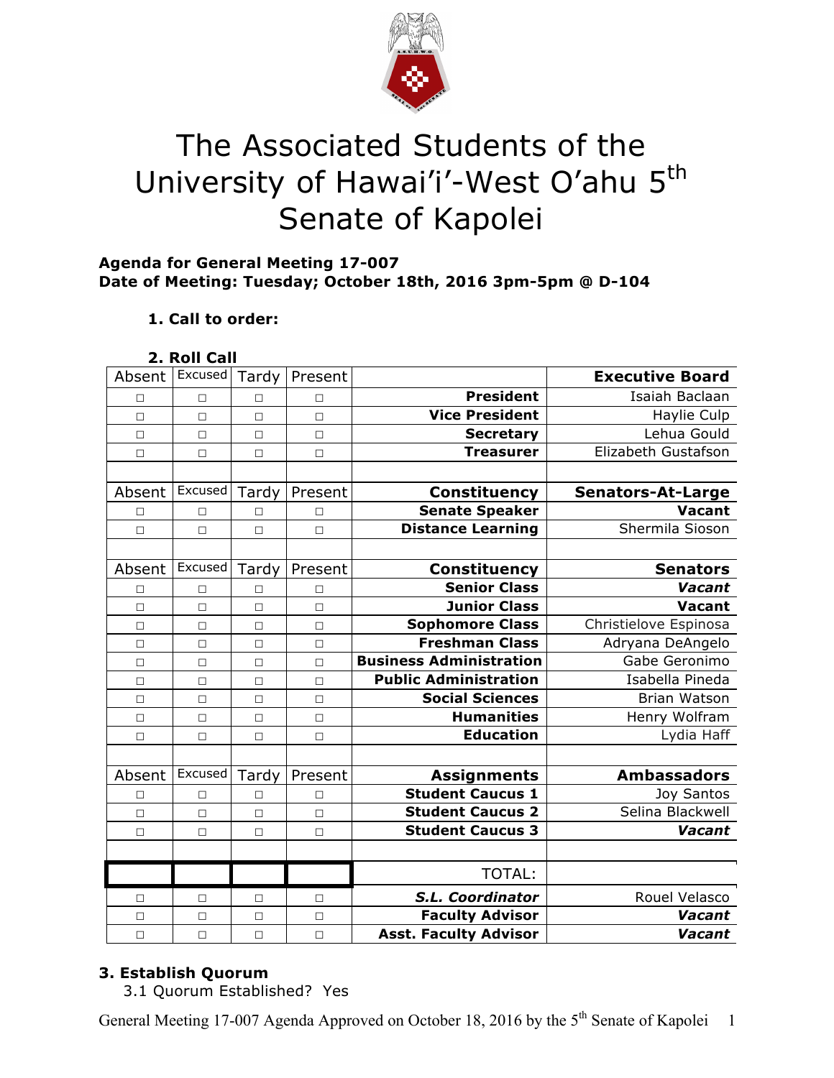

# The Associated Students of the University of Hawai'i'-West O'ahu 5<sup>th</sup> Senate of Kapolei

## **Agenda for General Meeting 17-007 Date of Meeting: Tuesday; October 18th, 2016 3pm-5pm @ D-104**

# **1. Call to order:**

### **2. Roll Call**

| Absent | Excused | Tardy  | Present |                                | <b>Executive Board</b>   |
|--------|---------|--------|---------|--------------------------------|--------------------------|
| П      | $\Box$  | П      | $\Box$  | <b>President</b>               | Isaiah Baclaan           |
| $\Box$ | $\Box$  | $\Box$ | $\Box$  | <b>Vice President</b>          | Haylie Culp              |
| $\Box$ | $\Box$  | $\Box$ | $\Box$  | <b>Secretary</b>               | Lehua Gould              |
| $\Box$ | $\Box$  | $\Box$ | $\Box$  | <b>Treasurer</b>               | Elizabeth Gustafson      |
|        |         |        |         |                                |                          |
| Absent | Excused | Tardy  | Present | <b>Constituency</b>            | <b>Senators-At-Large</b> |
| $\Box$ | П       | П      | П       | <b>Senate Speaker</b>          | Vacant                   |
| $\Box$ | $\Box$  | $\Box$ | $\Box$  | <b>Distance Learning</b>       | Shermila Sioson          |
|        |         |        |         |                                |                          |
| Absent | Excused | Tardy  | Present | Constituency                   | <b>Senators</b>          |
| П      | П       | П      | П       | <b>Senior Class</b>            | Vacant                   |
| $\Box$ | $\Box$  | $\Box$ | $\Box$  | <b>Junior Class</b>            | Vacant                   |
| $\Box$ | $\Box$  | $\Box$ | $\Box$  | <b>Sophomore Class</b>         | Christielove Espinosa    |
| $\Box$ | $\Box$  | $\Box$ | $\Box$  | <b>Freshman Class</b>          | Adryana DeAngelo         |
| $\Box$ | $\Box$  | $\Box$ | $\Box$  | <b>Business Administration</b> | Gabe Geronimo            |
| $\Box$ | $\Box$  | $\Box$ | $\Box$  | <b>Public Administration</b>   | Isabella Pineda          |
| $\Box$ | $\Box$  | $\Box$ | $\Box$  | <b>Social Sciences</b>         | Brian Watson             |
| $\Box$ | $\Box$  | $\Box$ | $\Box$  | <b>Humanities</b>              | Henry Wolfram            |
| $\Box$ | $\Box$  | □      | $\Box$  | <b>Education</b>               | Lydia Haff               |
|        |         |        |         |                                |                          |
| Absent | Excused | Tardy  | Present | <b>Assignments</b>             | <b>Ambassadors</b>       |
| $\Box$ | $\Box$  | П      | П       | <b>Student Caucus 1</b>        | Joy Santos               |
| $\Box$ | $\Box$  | $\Box$ | $\Box$  | <b>Student Caucus 2</b>        | Selina Blackwell         |
| П      | $\Box$  | П      | $\Box$  | <b>Student Caucus 3</b>        | Vacant                   |
|        |         |        |         |                                |                          |
|        |         |        |         | <b>TOTAL:</b>                  |                          |
| □      | $\Box$  | □      | $\Box$  | S.L. Coordinator               | Rouel Velasco            |
| $\Box$ | $\Box$  | $\Box$ | $\Box$  | <b>Faculty Advisor</b>         | Vacant                   |
| $\Box$ | $\Box$  | $\Box$ | $\Box$  | <b>Asst. Faculty Advisor</b>   | Vacant                   |

## **3. Establish Quorum**

3.1 Quorum Established? Yes

General Meeting 17-007 Agenda Approved on October 18, 2016 by the 5<sup>th</sup> Senate of Kapolei 1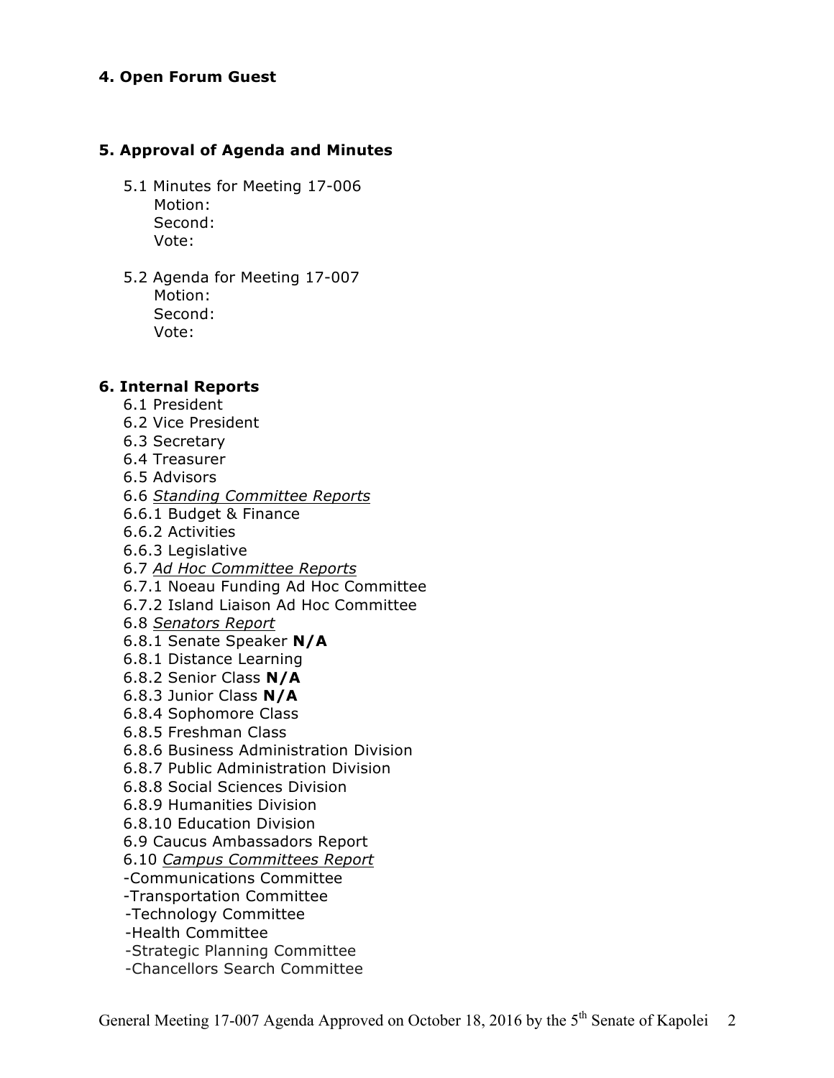#### **4. Open Forum Guest**

#### **5. Approval of Agenda and Minutes**

- 5.1 Minutes for Meeting 17-006 Motion: Second: Vote:
- 5.2 Agenda for Meeting 17-007 Motion: Second: Vote:

#### **6. Internal Reports**

- 6.1 President
- 6.2 Vice President
- 6.3 Secretary
- 6.4 Treasurer
- 6.5 Advisors
- 6.6 *Standing Committee Reports*
- 6.6.1 Budget & Finance
- 6.6.2 Activities
- 6.6.3 Legislative
- 6.7 *Ad Hoc Committee Reports*
- 6.7.1 Noeau Funding Ad Hoc Committee
- 6.7.2 Island Liaison Ad Hoc Committee
- 6.8 *Senators Report*
- 6.8.1 Senate Speaker **N/A**
- 6.8.1 Distance Learning
- 6.8.2 Senior Class **N/A**
- 6.8.3 Junior Class **N/A**
- 6.8.4 Sophomore Class
- 6.8.5 Freshman Class
- 6.8.6 Business Administration Division
- 6.8.7 Public Administration Division
- 6.8.8 Social Sciences Division
- 6.8.9 Humanities Division
- 6.8.10 Education Division
- 6.9 Caucus Ambassadors Report
- 6.10 *Campus Committees Report*
- -Communications Committee
- -Transportation Committee
- -Technology Committee
- -Health Committee
- -Strategic Planning Committee
- -Chancellors Search Committee